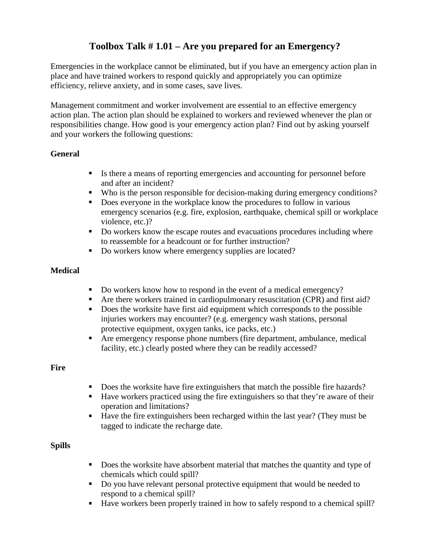## **Toolbox Talk # 1.01 – Are you prepared for an Emergency?**

Emergencies in the workplace cannot be eliminated, but if you have an emergency action plan in place and have trained workers to respond quickly and appropriately you can optimize efficiency, relieve anxiety, and in some cases, save lives.

Management commitment and worker involvement are essential to an effective emergency action plan. The action plan should be explained to workers and reviewed whenever the plan or responsibilities change. How good is your emergency action plan? Find out by asking yourself and your workers the following questions:

#### **General**

- Is there a means of reporting emergencies and accounting for personnel before and after an incident?
- Who is the person responsible for decision-making during emergency conditions?
- Does everyone in the workplace know the procedures to follow in various emergency scenarios (e.g. fire, explosion, earthquake, chemical spill or workplace violence, etc.)?
- Do workers know the escape routes and evacuations procedures including where to reassemble for a headcount or for further instruction?
- Do workers know where emergency supplies are located?

#### **Medical**

- Do workers know how to respond in the event of a medical emergency?
- Are there workers trained in cardiopulmonary resuscitation (CPR) and first aid?
- Does the worksite have first aid equipment which corresponds to the possible injuries workers may encounter? (e.g. emergency wash stations, personal protective equipment, oxygen tanks, ice packs, etc.)
- Are emergency response phone numbers (fire department, ambulance, medical facility, etc.) clearly posted where they can be readily accessed?

#### **Fire**

- Does the worksite have fire extinguishers that match the possible fire hazards?
- Have workers practiced using the fire extinguishers so that they're aware of their operation and limitations?
- Have the fire extinguishers been recharged within the last year? (They must be tagged to indicate the recharge date.

#### **Spills**

- Does the worksite have absorbent material that matches the quantity and type of chemicals which could spill?
- Do you have relevant personal protective equipment that would be needed to respond to a chemical spill?
- Have workers been properly trained in how to safely respond to a chemical spill?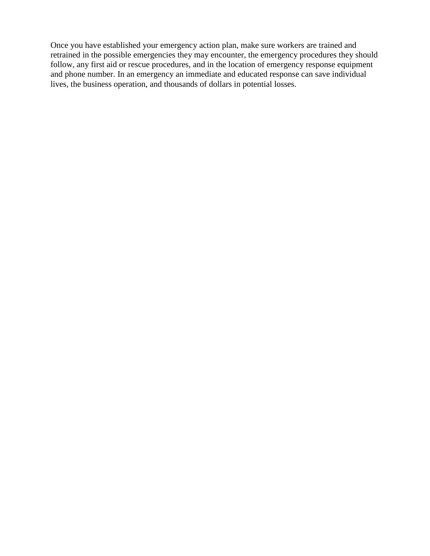Once you have established your emergency action plan, make sure workers are trained and retrained in the possible emergencies they may encounter, the emergency procedures they should follow, any first aid or rescue procedures, and in the location of emergency response equipment and phone number. In an emergency an immediate and educated response can save individual lives, the business operation, and thousands of dollars in potential losses.